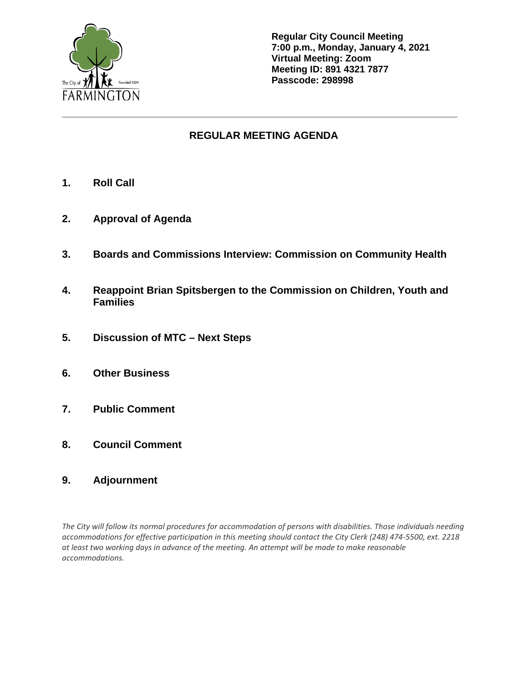

**Regular City Council Meeting 7:00 p.m., Monday, January 4, 2021 Virtual Meeting: Zoom Meeting ID: 891 4321 7877 Passcode: 298998**

# **REGULAR MEETING AGENDA**

**\_\_\_\_\_\_\_\_\_\_\_\_\_\_\_\_\_\_\_\_\_\_\_\_\_\_\_\_\_\_\_\_\_\_\_\_\_\_\_\_\_\_\_\_\_\_\_\_\_\_\_\_\_\_\_\_\_\_\_\_\_\_\_\_\_\_\_\_\_\_\_\_\_\_\_**

- **1. Roll Call**
- **2. Approval of Agenda**
- **3. Boards and Commissions Interview: Commission on Community Health**
- **4. Reappoint Brian Spitsbergen to the Commission on Children, Youth and Families**
- **5. Discussion of MTC – Next Steps**
- **6. Other Business**
- **7. Public Comment**
- **8. Council Comment**
- **9. Adjournment**

*The City will follow its normal procedures for accommodation of persons with disabilities. Those individuals needing accommodations for effective participation in this meeting should contact the City Clerk (248) 474-5500, ext. 2218 at least two working days in advance of the meeting. An attempt will be made to make reasonable accommodations.*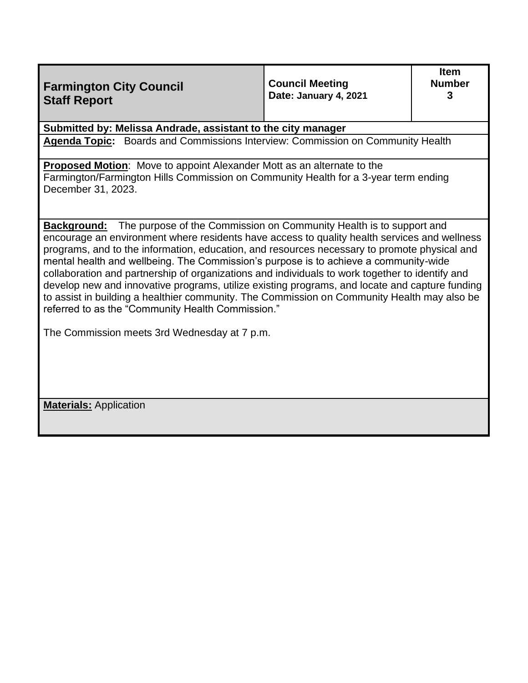| <b>Farmington City Council</b><br><b>Staff Report</b>                                                                                                                                                                                                                                                                                                                                                                                                                                                                                                                                                                                                                                                                                                                                      | <b>Council Meeting</b><br>Date: January 4, 2021 | <b>Item</b><br><b>Number</b><br>3 |  |  |
|--------------------------------------------------------------------------------------------------------------------------------------------------------------------------------------------------------------------------------------------------------------------------------------------------------------------------------------------------------------------------------------------------------------------------------------------------------------------------------------------------------------------------------------------------------------------------------------------------------------------------------------------------------------------------------------------------------------------------------------------------------------------------------------------|-------------------------------------------------|-----------------------------------|--|--|
| Submitted by: Melissa Andrade, assistant to the city manager                                                                                                                                                                                                                                                                                                                                                                                                                                                                                                                                                                                                                                                                                                                               |                                                 |                                   |  |  |
| Agenda Topic: Boards and Commissions Interview: Commission on Community Health                                                                                                                                                                                                                                                                                                                                                                                                                                                                                                                                                                                                                                                                                                             |                                                 |                                   |  |  |
| <b>Proposed Motion:</b> Move to appoint Alexander Mott as an alternate to the<br>Farmington/Farmington Hills Commission on Community Health for a 3-year term ending<br>December 31, 2023.                                                                                                                                                                                                                                                                                                                                                                                                                                                                                                                                                                                                 |                                                 |                                   |  |  |
| The purpose of the Commission on Community Health is to support and<br><b>Background:</b><br>encourage an environment where residents have access to quality health services and wellness<br>programs, and to the information, education, and resources necessary to promote physical and<br>mental health and wellbeing. The Commission's purpose is to achieve a community-wide<br>collaboration and partnership of organizations and individuals to work together to identify and<br>develop new and innovative programs, utilize existing programs, and locate and capture funding<br>to assist in building a healthier community. The Commission on Community Health may also be<br>referred to as the "Community Health Commission."<br>The Commission meets 3rd Wednesday at 7 p.m. |                                                 |                                   |  |  |
| <b>Materials:</b> Application                                                                                                                                                                                                                                                                                                                                                                                                                                                                                                                                                                                                                                                                                                                                                              |                                                 |                                   |  |  |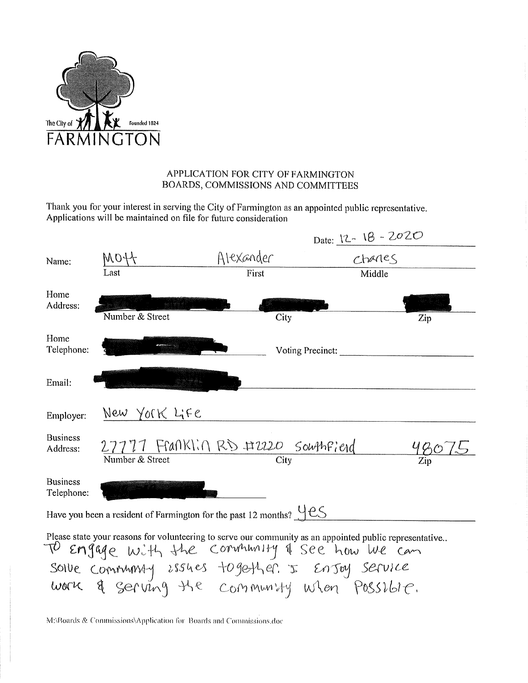

# APPLICATION FOR CITY OF FARMINGTON BOARDS, COMMISSIONS AND COMMITTEES

Thank you for your interest in serving the City of Farmington as an appointed public representative. Applications will be maintained on file for future consideration

|                                                                                                                                                              |                                    |                  | Date: $12 - 18 - 2020$ |     |  |  |
|--------------------------------------------------------------------------------------------------------------------------------------------------------------|------------------------------------|------------------|------------------------|-----|--|--|
| Name:                                                                                                                                                        | NOH                                | Alexander        | chanes                 |     |  |  |
|                                                                                                                                                              | Last                               | First            | Middle                 |     |  |  |
| Home<br>Address:                                                                                                                                             |                                    |                  |                        |     |  |  |
|                                                                                                                                                              | Number & Street                    | City             |                        | Zip |  |  |
| Home<br>Telephone:                                                                                                                                           |                                    | Voting Precinct: |                        |     |  |  |
| Email:                                                                                                                                                       |                                    |                  |                        |     |  |  |
| Employer:                                                                                                                                                    | New York Life                      |                  |                        |     |  |  |
| <b>Business</b><br>Address:                                                                                                                                  | 27777 Franklin RD #2220 Southfield |                  |                        |     |  |  |
|                                                                                                                                                              | Number & Street                    | City             |                        |     |  |  |
| <b>Business</b><br>Telephone:                                                                                                                                |                                    |                  |                        |     |  |  |
| Have you been a resident of Farmington for the past 12 months? $\underline{\vee}$ equals the past 12 months?                                                 |                                    |                  |                        |     |  |  |
| Please state your reasons for volunteering to serve our community as an appointed public representative<br>TO Engage with the convirtuality & see how we can |                                    |                  |                        |     |  |  |
| soive commining issues together & Ensoy service<br>work & serving the community when Possible.                                                               |                                    |                  |                        |     |  |  |
|                                                                                                                                                              |                                    |                  |                        |     |  |  |

M:\Boards & Commissions\Application for Boards and Commissions.doc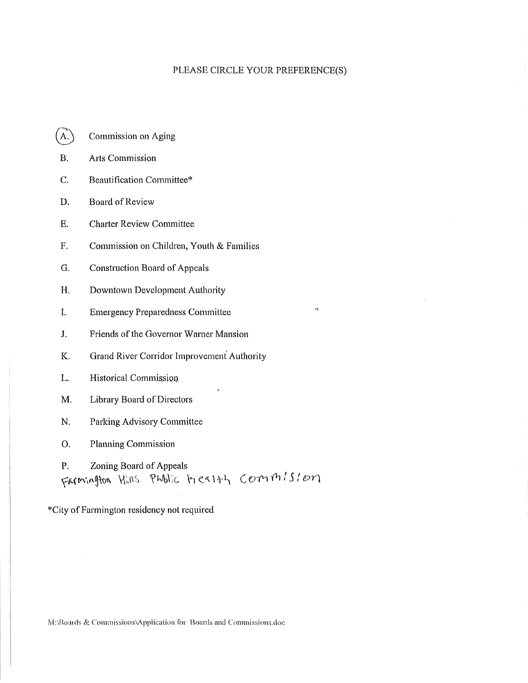#### PLEASE CIRCLE YOUR PREFERENCE(S)

 $\alpha$ 

- **Commission on Aging**  $A.$
- $B.$ **Arts Commission**
- C. Beautification Committee\*
- D. **Board of Review**
- E. **Charter Review Committee**
- $F<sub>r</sub>$ Commission on Children, Youth & Families
- G. **Construction Board of Appeals**
- H. Downtown Development Authority
- L. **Emergency Preparedness Committee**
- $J<sub>r</sub>$ Friends of the Governor Warner Mansion
- K. Grand River Corridor Improvement Authority
- L. Historical Commission
- Library Board of Directors M.
- N. Parking Advisory Committee
- O. **Planning Commission**

P. Zoning Board of Appeals Farmington Hills Pholic Health Commission

\*City of Farmington residency not required

M:\Boards & Commissions\Application for Boards and Commissions.doc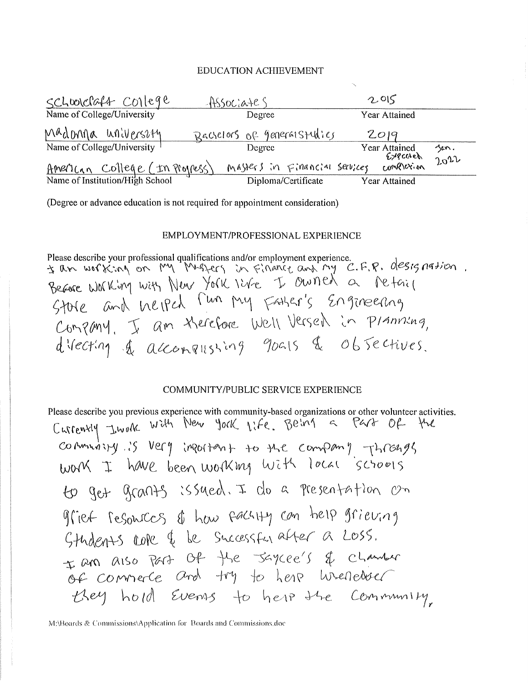### **EDUCATION ACHIEVEMENT**

| schoolclaft college            | $-$ HSSOCiates                | 2.015                              |              |
|--------------------------------|-------------------------------|------------------------------------|--------------|
| Name of College/University     | Degree                        | Year Attained                      |              |
| Madonna universzty             | Racielors of general studies  | 2019                               |              |
| Name of College/University     | Degree                        | Year Attained<br>$6$ <i>y</i> cach | jen.<br>2012 |
| American College (In Progress) | MASters in Financial services | complexion                         |              |
|                                | Diploma/Certificate           | <b>Year Attained</b>               |              |

(Degree or advance education is not required for appointment consideration)

### EMPLOYMENT/PROFESSIONAL EXPERIENCE

Please describe your professional qualifications and/or employment experience.<br>
I am working with New York I by The a petail<br>
Becare Working with New York I've I bunned a petail<br>
Store and Welped Tun puy Father's Engineeri

## COMMUNITY/PUBLIC SERVICE EXPERIENCE

Please describe you previous experience with community-based organizations or other volunter activities.  
\nCutrenxyy by Wd4 New York life. Beiv4 = P44 OP-Wu  
\nCoAmwayy :S Vefy inPo4An+ to 44C Compamy -H109495  
\nWo4 T hWc been Wo1Kmy Wi4t locat 5C\*0015  
\nHO get G(0195 :SSued, I do a P(195014) on OP  
\nGfield FeGowCCS & haw F6CHy Con help fiieving  
\nGHudn+5 LORe & Snccesstru after a LOSS.  
\n
$$
\pm
$$
 am also Part OP He 56yce's & Chambar  
\nOF Comnece and Hy be here. We  
\nHeey hold Evans to her the Commmyy,

M:\Boards & Commissions\Application for Boards and Commissions.doc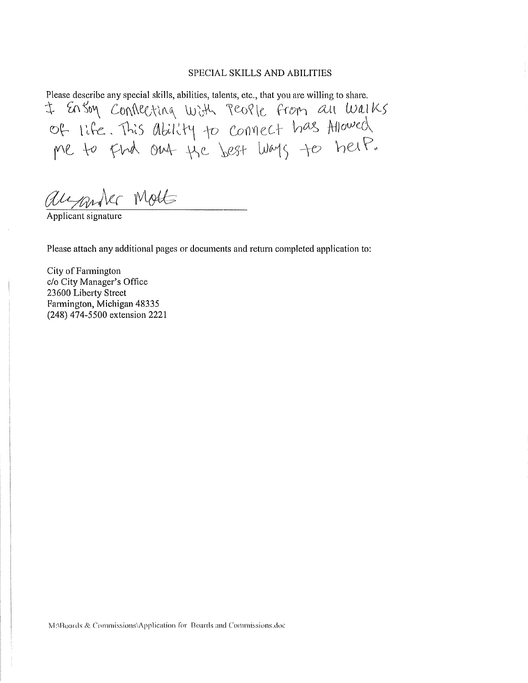#### SPECIAL SKILLS AND ABILITIES

Please describe any special skills, abilities, talents, etc., that you are willing to share. t Ensoy Conflecting with People from an Walks<br>of life. This ability to connect has Allowed<br>me to find ont the best ways to help.

augander Mott

Applicant signature

Please attach any additional pages or documents and return completed application to:

City of Farmington c/o City Manager's Office 23600 Liberty Street Farmington, Michigan 48335 (248) 474-5500 extension 2221

MABoards & Commissions\Application for Boards and Commissions.doc